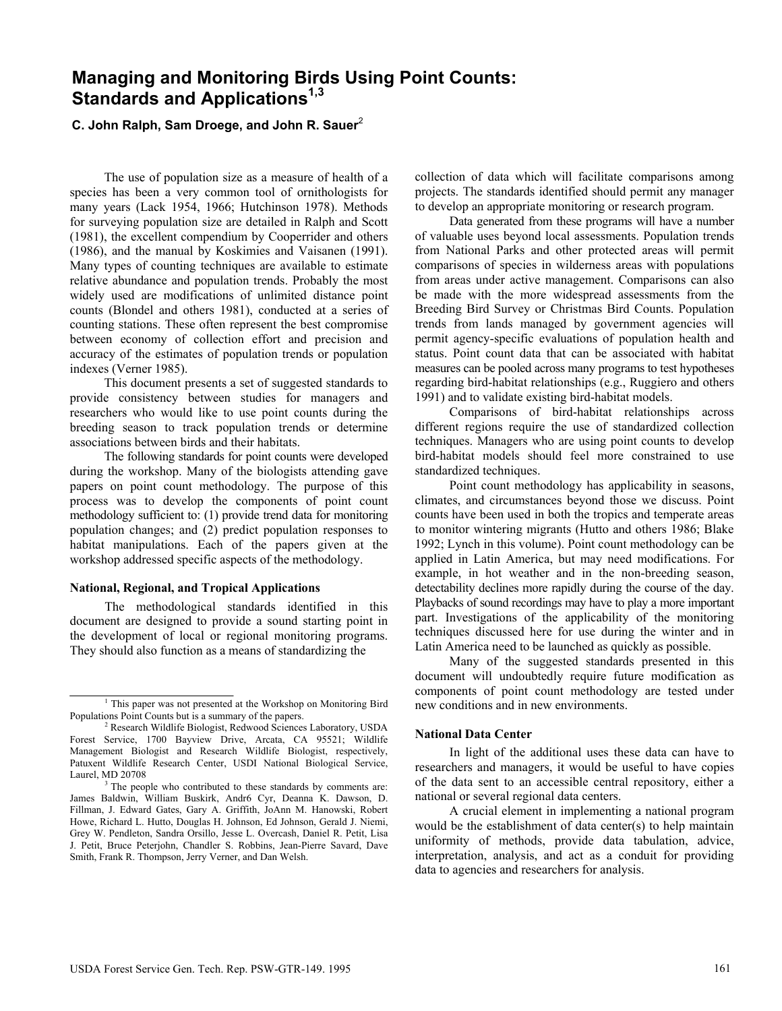# **Managing and Monitoring Birds Using Point Counts: Standards and Applications1,3**

# **C. John Ralph, Sam Droege, and John R. Sauer**<sup>2</sup>

The use of population size as a measure of health of a species has been a very common tool of ornithologists for many years (Lack 1954, 1966; Hutchinson 1978). Methods for surveying population size are detailed in Ralph and Scott (1981), the excellent compendium by Cooperrider and others (1986), and the manual by Koskimies and Vaisanen (1991). Many types of counting techniques are available to estimate relative abundance and population trends. Probably the most widely used are modifications of unlimited distance point counts (Blondel and others 1981), conducted at a series of counting stations. These often represent the best compromise between economy of collection effort and precision and accuracy of the estimates of population trends or population indexes (Verner 1985).

This document presents a set of suggested standards to provide consistency between studies for managers and researchers who would like to use point counts during the breeding season to track population trends or determine associations between birds and their habitats.

The following standards for point counts were developed during the workshop. Many of the biologists attending gave papers on point count methodology. The purpose of this process was to develop the components of point count methodology sufficient to: (1) provide trend data for monitoring population changes; and (2) predict population responses to habitat manipulations. Each of the papers given at the workshop addressed specific aspects of the methodology.

### **National, Regional, and Tropical Applications**

The methodological standards identified in this document are designed to provide a sound starting point in the development of local or regional monitoring programs. They should also function as a means of standardizing the

collection of data which will facilitate comparisons among projects. The standards identified should permit any manager to develop an appropriate monitoring or research program.

Data generated from these programs will have a number of valuable uses beyond local assessments. Population trends from National Parks and other protected areas will permit comparisons of species in wilderness areas with populations from areas under active management. Comparisons can also be made with the more widespread assessments from the Breeding Bird Survey or Christmas Bird Counts. Population trends from lands managed by government agencies will permit agency-specific evaluations of population health and status. Point count data that can be associated with habitat measures can be pooled across many programs to test hypotheses regarding bird-habitat relationships (e.g., Ruggiero and others 1991) and to validate existing bird-habitat models.

Comparisons of bird-habitat relationships across different regions require the use of standardized collection techniques. Managers who are using point counts to develop bird-habitat models should feel more constrained to use standardized techniques.

Point count methodology has applicability in seasons, climates, and circumstances beyond those we discuss. Point counts have been used in both the tropics and temperate areas to monitor wintering migrants (Hutto and others 1986; Blake 1992; Lynch in this volume). Point count methodology can be applied in Latin America, but may need modifications. For example, in hot weather and in the non-breeding season, detectability declines more rapidly during the course of the day. Playbacks of sound recordings may have to play a more important part. Investigations of the applicability of the monitoring techniques discussed here for use during the winter and in Latin America need to be launched as quickly as possible.

Many of the suggested standards presented in this document will undoubtedly require future modification as components of point count methodology are tested under new conditions and in new environments.

#### **National Data Center**

In light of the additional uses these data can have to researchers and managers, it would be useful to have copies of the data sent to an accessible central repository, either a national or several regional data centers.

A crucial element in implementing a national program would be the establishment of data center(s) to help maintain uniformity of methods, provide data tabulation, advice, interpretation, analysis, and act as a conduit for providing data to agencies and researchers for analysis.

<sup>&</sup>lt;sup>1</sup> This paper was not presented at the Workshop on Monitoring Bird Populations Point Counts but is a summary of the papers.

<sup>2</sup> Research Wildlife Biologist, Redwood Sciences Laboratory, USDA Forest Service, 1700 Bayview Drive, Arcata, CA 95521; Wildlife Management Biologist and Research Wildlife Biologist, respectively, Patuxent Wildlife Research Center, USDI National Biological Service, Laurel, MD 20708

<sup>&</sup>lt;sup>3</sup> The people who contributed to these standards by comments are: James Baldwin, William Buskirk, Andr6 Cyr, Deanna K. Dawson, D. Fillman, J. Edward Gates, Gary A. Griffith, JoAnn M. Hanowski, Robert Howe, Richard L. Hutto, Douglas H. Johnson, Ed Johnson, Gerald J. Niemi, Grey W. Pendleton, Sandra Orsillo, Jesse L. Overcash, Daniel R. Petit, Lisa J. Petit, Bruce Peterjohn, Chandler S. Robbins, Jean-Pierre Savard, Dave Smith, Frank R. Thompson, Jerry Verner, and Dan Welsh.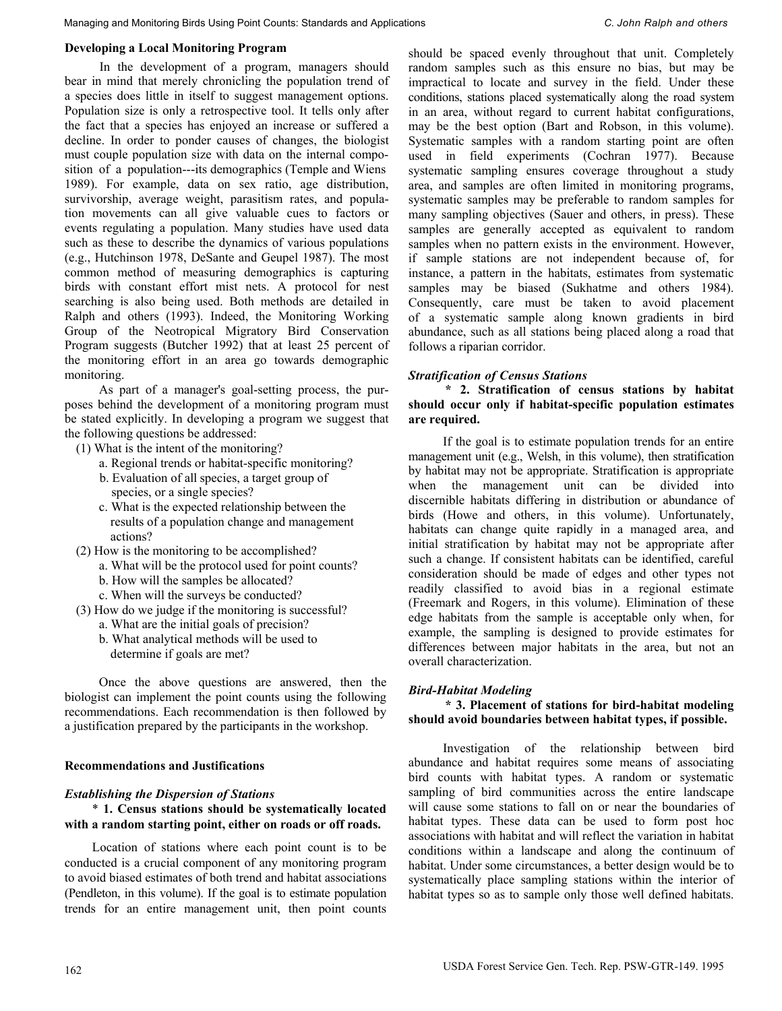### **Developing a Local Monitoring Program**

In the development of a program, managers should bear in mind that merely chronicling the population trend of a species does little in itself to suggest management options. Population size is only a retrospective tool. It tells only after the fact that a species has enjoyed an increase or suffered a decline. In order to ponder causes of changes, the biologist must couple population size with data on the internal composition of a population---its demographics (Temple and Wiens 1989). For example, data on sex ratio, age distribution, survivorship, average weight, parasitism rates, and population movements can all give valuable cues to factors or events regulating a population. Many studies have used data such as these to describe the dynamics of various populations (e.g., Hutchinson 1978, DeSante and Geupel 1987). The most common method of measuring demographics is capturing birds with constant effort mist nets. A protocol for nest searching is also being used. Both methods are detailed in Ralph and others (1993). Indeed, the Monitoring Working Group of the Neotropical Migratory Bird Conservation Program suggests (Butcher 1992) that at least 25 percent of the monitoring effort in an area go towards demographic monitoring.

As part of a manager's goal-setting process, the purposes behind the development of a monitoring program must be stated explicitly. In developing a program we suggest that the following questions be addressed:

(1) What is the intent of the monitoring?

- a. Regional trends or habitat-specific monitoring?
- b. Evaluation of all species, a target group of species, or a single species?
- c. What is the expected relationship between the results of a population change and management actions?
- (2) How is the monitoring to be accomplished?
	- a. What will be the protocol used for point counts?
	- b. How will the samples be allocated?
	- c. When will the surveys be conducted?
- (3) How do we judge if the monitoring is successful?
	- a. What are the initial goals of precision?
	- b. What analytical methods will be used to determine if goals are met?

Once the above questions are answered, then the biologist can implement the point counts using the following recommendations. Each recommendation is then followed by a justification prepared by the participants in the workshop.

#### **Recommendations and Justifications**

#### *Establishing the Dispersion of Stations*

### \* **1. Census stations should be systematically located with a random starting point, either on roads or off roads.**

Location of stations where each point count is to be conducted is a crucial component of any monitoring program to avoid biased estimates of both trend and habitat associations (Pendleton, in this volume). If the goal is to estimate population trends for an entire management unit, then point counts

should be spaced evenly throughout that unit. Completely random samples such as this ensure no bias, but may be impractical to locate and survey in the field. Under these conditions, stations placed systematically along the road system in an area, without regard to current habitat configurations, may be the best option (Bart and Robson, in this volume). Systematic samples with a random starting point are often used in field experiments (Cochran 1977). Because systematic sampling ensures coverage throughout a study area, and samples are often limited in monitoring programs, systematic samples may be preferable to random samples for many sampling objectives (Sauer and others, in press). These samples are generally accepted as equivalent to random samples when no pattern exists in the environment. However, if sample stations are not independent because of, for instance, a pattern in the habitats, estimates from systematic samples may be biased (Sukhatme and others 1984). Consequently, care must be taken to avoid placement of a systematic sample along known gradients in bird abundance, such as all stations being placed along a road that follows a riparian corridor.

#### *Stratification of Census Stations*

**\* 2. Stratification of census stations by habitat should occur only if habitat-specific population estimates are required.** 

If the goal is to estimate population trends for an entire management unit (e.g., Welsh, in this volume), then stratification by habitat may not be appropriate. Stratification is appropriate when the management unit can be divided into discernible habitats differing in distribution or abundance of birds (Howe and others, in this volume). Unfortunately, habitats can change quite rapidly in a managed area, and initial stratification by habitat may not be appropriate after such a change. If consistent habitats can be identified, careful consideration should be made of edges and other types not readily classified to avoid bias in a regional estimate (Freemark and Rogers, in this volume). Elimination of these edge habitats from the sample is acceptable only when, for example, the sampling is designed to provide estimates for differences between major habitats in the area, but not an overall characterization.

#### *Bird-Habitat Modeling*

**\* 3. Placement of stations for bird-habitat modeling should avoid boundaries between habitat types, if possible.** 

Investigation of the relationship between bird abundance and habitat requires some means of associating bird counts with habitat types. A random or systematic sampling of bird communities across the entire landscape will cause some stations to fall on or near the boundaries of habitat types. These data can be used to form post hoc associations with habitat and will reflect the variation in habitat conditions within a landscape and along the continuum of habitat. Under some circumstances, a better design would be to systematically place sampling stations within the interior of habitat types so as to sample only those well defined habitats.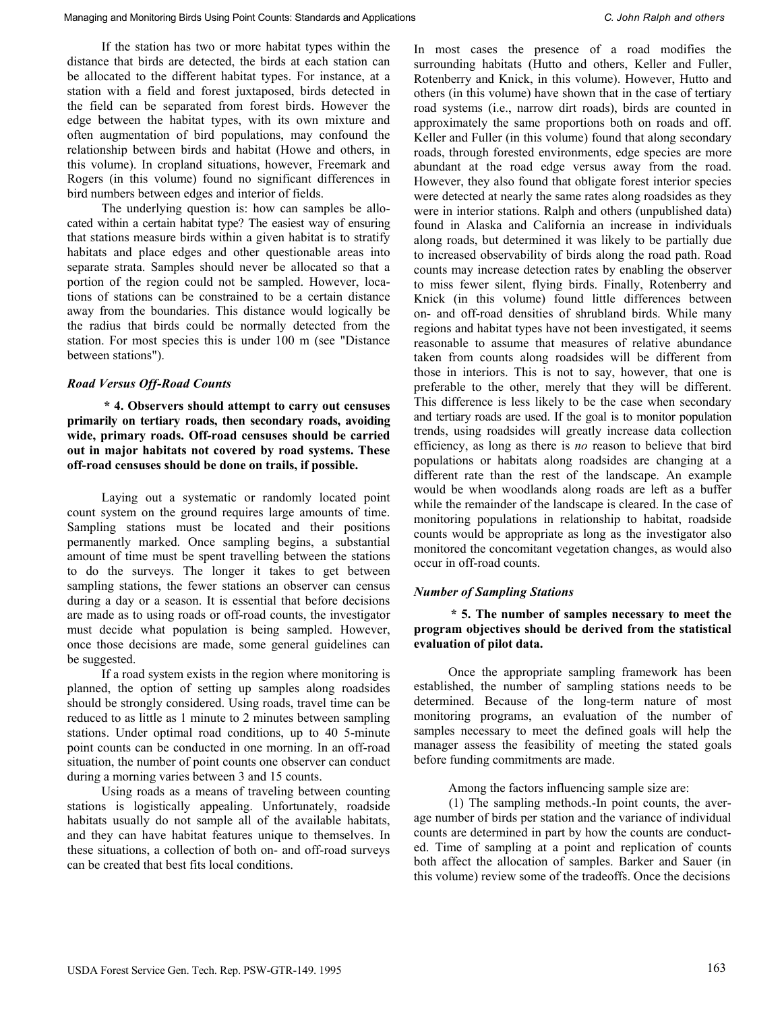If the station has two or more habitat types within the distance that birds are detected, the birds at each station can be allocated to the different habitat types. For instance, at a station with a field and forest juxtaposed, birds detected in the field can be separated from forest birds. However the edge between the habitat types, with its own mixture and often augmentation of bird populations, may confound the relationship between birds and habitat (Howe and others, in this volume). In cropland situations, however, Freemark and Rogers (in this volume) found no significant differences in bird numbers between edges and interior of fields.

The underlying question is: how can samples be allocated within a certain habitat type? The easiest way of ensuring that stations measure birds within a given habitat is to stratify habitats and place edges and other questionable areas into separate strata. Samples should never be allocated so that a portion of the region could not be sampled. However, locations of stations can be constrained to be a certain distance away from the boundaries. This distance would logically be the radius that birds could be normally detected from the station. For most species this is under 100 m (see "Distance between stations").

## *Road Versus Off-Road Counts*

**\* 4. Observers should attempt to carry out censuses primarily on tertiary roads, then secondary roads, avoiding wide, primary roads. Off-road censuses should be carried out in major habitats not covered by road systems. These off-road censuses should be done on trails, if possible.** 

Laying out a systematic or randomly located point count system on the ground requires large amounts of time. Sampling stations must be located and their positions permanently marked. Once sampling begins, a substantial amount of time must be spent travelling between the stations to do the surveys. The longer it takes to get between sampling stations, the fewer stations an observer can census during a day or a season. It is essential that before decisions are made as to using roads or off-road counts, the investigator must decide what population is being sampled. However, once those decisions are made, some general guidelines can be suggested.

If a road system exists in the region where monitoring is planned, the option of setting up samples along roadsides should be strongly considered. Using roads, travel time can be reduced to as little as 1 minute to 2 minutes between sampling stations. Under optimal road conditions, up to 40 5-minute point counts can be conducted in one morning. In an off-road situation, the number of point counts one observer can conduct during a morning varies between 3 and 15 counts.

Using roads as a means of traveling between counting stations is logistically appealing. Unfortunately, roadside habitats usually do not sample all of the available habitats, and they can have habitat features unique to themselves. In these situations, a collection of both on- and off-road surveys can be created that best fits local conditions.

In most cases the presence of a road modifies the surrounding habitats (Hutto and others, Keller and Fuller, Rotenberry and Knick, in this volume). However, Hutto and others (in this volume) have shown that in the case of tertiary road systems (i.e., narrow dirt roads), birds are counted in approximately the same proportions both on roads and off. Keller and Fuller (in this volume) found that along secondary roads, through forested environments, edge species are more abundant at the road edge versus away from the road. However, they also found that obligate forest interior species were detected at nearly the same rates along roadsides as they were in interior stations. Ralph and others (unpublished data) found in Alaska and California an increase in individuals along roads, but determined it was likely to be partially due to increased observability of birds along the road path. Road counts may increase detection rates by enabling the observer to miss fewer silent, flying birds. Finally, Rotenberry and Knick (in this volume) found little differences between on- and off-road densities of shrubland birds. While many regions and habitat types have not been investigated, it seems reasonable to assume that measures of relative abundance taken from counts along roadsides will be different from those in interiors. This is not to say, however, that one is preferable to the other, merely that they will be different. This difference is less likely to be the case when secondary and tertiary roads are used. If the goal is to monitor population trends, using roadsides will greatly increase data collection efficiency, as long as there is *no* reason to believe that bird populations or habitats along roadsides are changing at a different rate than the rest of the landscape. An example would be when woodlands along roads are left as a buffer while the remainder of the landscape is cleared. In the case of monitoring populations in relationship to habitat, roadside counts would be appropriate as long as the investigator also monitored the concomitant vegetation changes, as would also occur in off-road counts.

# *Number of Sampling Stations*

## **\* 5. The number of samples necessary to meet the program objectives should be derived from the statistical evaluation of pilot data.**

Once the appropriate sampling framework has been established, the number of sampling stations needs to be determined. Because of the long-term nature of most monitoring programs, an evaluation of the number of samples necessary to meet the defined goals will help the manager assess the feasibility of meeting the stated goals before funding commitments are made.

Among the factors influencing sample size are:

(1) The sampling methods.-In point counts, the average number of birds per station and the variance of individual counts are determined in part by how the counts are conducted. Time of sampling at a point and replication of counts both affect the allocation of samples. Barker and Sauer (in this volume) review some of the tradeoffs. Once the decisions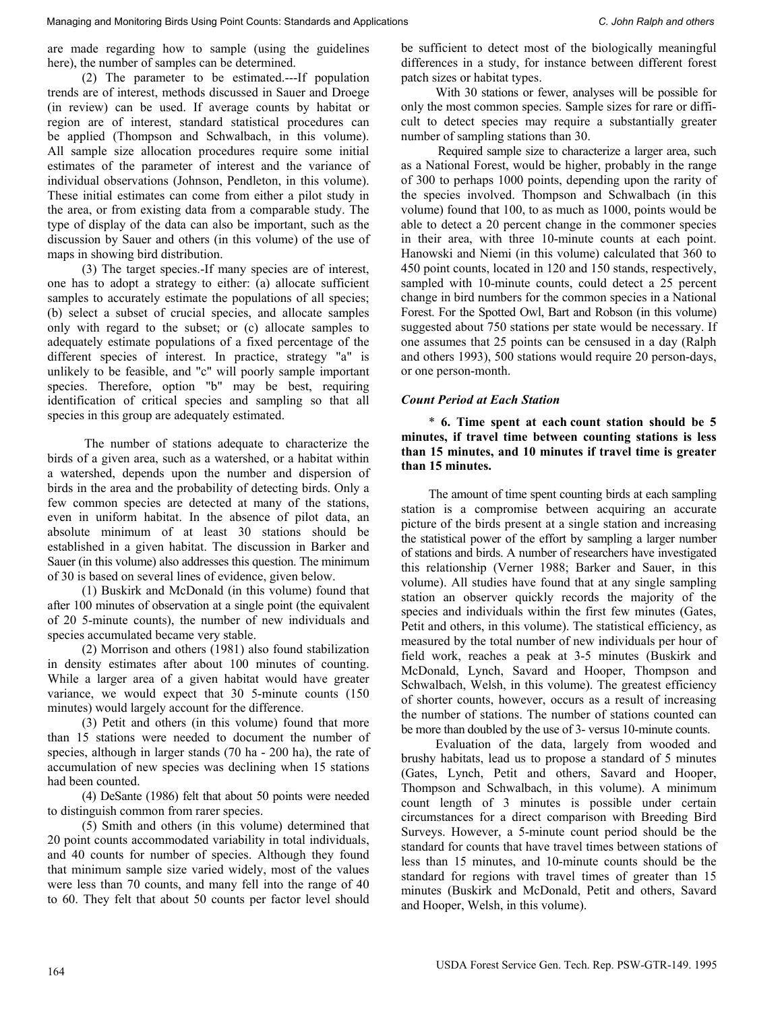are made regarding how to sample (using the guidelines here), the number of samples can be determined.

(2) The parameter to be estimated.---If population trends are of interest, methods discussed in Sauer and Droege (in review) can be used. If average counts by habitat or region are of interest, standard statistical procedures can be applied (Thompson and Schwalbach, in this volume). All sample size allocation procedures require some initial estimates of the parameter of interest and the variance of individual observations (Johnson, Pendleton, in this volume). These initial estimates can come from either a pilot study in the area, or from existing data from a comparable study. The type of display of the data can also be important, such as the discussion by Sauer and others (in this volume) of the use of maps in showing bird distribution.

(3) The target species.-If many species are of interest, one has to adopt a strategy to either: (a) allocate sufficient samples to accurately estimate the populations of all species; (b) select a subset of crucial species, and allocate samples only with regard to the subset; or (c) allocate samples to adequately estimate populations of a fixed percentage of the different species of interest. In practice, strategy "a" is unlikely to be feasible, and "c" will poorly sample important species. Therefore, option "b" may be best, requiring identification of critical species and sampling so that all species in this group are adequately estimated.

The number of stations adequate to characterize the birds of a given area, such as a watershed, or a habitat within a watershed, depends upon the number and dispersion of birds in the area and the probability of detecting birds. Only a few common species are detected at many of the stations, even in uniform habitat. In the absence of pilot data, an absolute minimum of at least 30 stations should be established in a given habitat. The discussion in Barker and Sauer (in this volume) also addresses this question. The minimum of 30 is based on several lines of evidence, given below.

(1) Buskirk and McDonald (in this volume) found that after 100 minutes of observation at a single point (the equivalent of 20 5-minute counts), the number of new individuals and species accumulated became very stable.

(2) Morrison and others (1981) also found stabilization in density estimates after about 100 minutes of counting. While a larger area of a given habitat would have greater variance, we would expect that 30 5-minute counts (150 minutes) would largely account for the difference.

(3) Petit and others (in this volume) found that more than 15 stations were needed to document the number of species, although in larger stands (70 ha - 200 ha), the rate of accumulation of new species was declining when 15 stations had been counted.

(4) DeSante (1986) felt that about 50 points were needed to distinguish common from rarer species.

(5) Smith and others (in this volume) determined that 20 point counts accommodated variability in total individuals, and 40 counts for number of species. Although they found that minimum sample size varied widely, most of the values were less than 70 counts, and many fell into the range of 40 to 60. They felt that about 50 counts per factor level should be sufficient to detect most of the biologically meaningful differences in a study, for instance between different forest patch sizes or habitat types.

With 30 stations or fewer, analyses will be possible for only the most common species. Sample sizes for rare or difficult to detect species may require a substantially greater number of sampling stations than 30.

Required sample size to characterize a larger area, such as a National Forest, would be higher, probably in the range of 300 to perhaps 1000 points, depending upon the rarity of the species involved. Thompson and Schwalbach (in this volume) found that 100, to as much as 1000, points would be able to detect a 20 percent change in the commoner species in their area, with three 10-minute counts at each point. Hanowski and Niemi (in this volume) calculated that 360 to 450 point counts, located in 120 and 150 stands, respectively, sampled with 10-minute counts, could detect a 25 percent change in bird numbers for the common species in a National Forest. For the Spotted Owl, Bart and Robson (in this volume) suggested about 750 stations per state would be necessary. If one assumes that 25 points can be censused in a day (Ralph and others 1993), 500 stations would require 20 person-days, or one person-month.

#### *Count Period at Each Station*

\* **6. Time spent at each count station should be 5 minutes, if travel time between counting stations is less than 15 minutes, and 10 minutes if travel time is greater than 15 minutes.** 

The amount of time spent counting birds at each sampling station is a compromise between acquiring an accurate picture of the birds present at a single station and increasing the statistical power of the effort by sampling a larger number of stations and birds. A number of researchers have investigated this relationship (Verner 1988; Barker and Sauer, in this volume). All studies have found that at any single sampling station an observer quickly records the majority of the species and individuals within the first few minutes (Gates, Petit and others, in this volume). The statistical efficiency, as measured by the total number of new individuals per hour of field work, reaches a peak at 3-5 minutes (Buskirk and McDonald, Lynch, Savard and Hooper, Thompson and Schwalbach, Welsh, in this volume). The greatest efficiency of shorter counts, however, occurs as a result of increasing the number of stations. The number of stations counted can be more than doubled by the use of 3- versus 10-minute counts.

Evaluation of the data, largely from wooded and brushy habitats, lead us to propose a standard of 5 minutes (Gates, Lynch, Petit and others, Savard and Hooper, Thompson and Schwalbach, in this volume). A minimum count length of 3 minutes is possible under certain circumstances for a direct comparison with Breeding Bird Surveys. However, a 5-minute count period should be the standard for counts that have travel times between stations of less than 15 minutes, and 10-minute counts should be the standard for regions with travel times of greater than 15 minutes (Buskirk and McDonald, Petit and others, Savard and Hooper, Welsh, in this volume).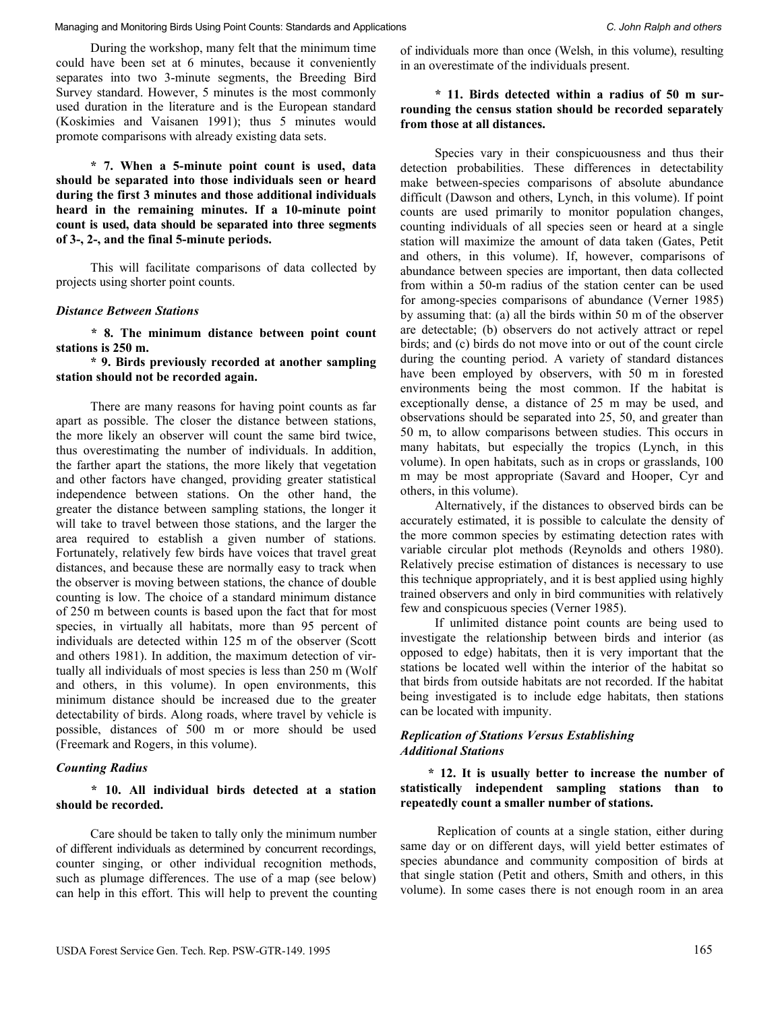During the workshop, many felt that the minimum time could have been set at 6 minutes, because it conveniently separates into two 3-minute segments, the Breeding Bird Survey standard. However, 5 minutes is the most commonly used duration in the literature and is the European standard (Koskimies and Vaisanen 1991); thus 5 minutes would promote comparisons with already existing data sets.

**\* 7. When a 5-minute point count is used, data should be separated into those individuals seen or heard during the first 3 minutes and those additional individuals heard in the remaining minutes. If a 10-minute point count is used, data should be separated into three segments of 3-, 2-, and the final 5-minute periods.**

This will facilitate comparisons of data collected by projects using shorter point counts.

#### *Distance Between Stations*

**\* 8. The minimum distance between point count stations is 250 m.** 

**\* 9. Birds previously recorded at another sampling station should not be recorded again.** 

There are many reasons for having point counts as far apart as possible. The closer the distance between stations, the more likely an observer will count the same bird twice, thus overestimating the number of individuals. In addition, the farther apart the stations, the more likely that vegetation and other factors have changed, providing greater statistical independence between stations. On the other hand, the greater the distance between sampling stations, the longer it will take to travel between those stations, and the larger the area required to establish a given number of stations. Fortunately, relatively few birds have voices that travel great distances, and because these are normally easy to track when the observer is moving between stations, the chance of double counting is low. The choice of a standard minimum distance of 250 m between counts is based upon the fact that for most species, in virtually all habitats, more than 95 percent of individuals are detected within 125 m of the observer (Scott and others 1981). In addition, the maximum detection of virtually all individuals of most species is less than 250 m (Wolf and others, in this volume). In open environments, this minimum distance should be increased due to the greater detectability of birds. Along roads, where travel by vehicle is possible, distances of 500 m or more should be used (Freemark and Rogers, in this volume).

#### *Counting Radius*

**\* 10. All individual birds detected at a station should be recorded.**

Care should be taken to tally only the minimum number of different individuals as determined by concurrent recordings, counter singing, or other individual recognition methods, such as plumage differences. The use of a map (see below) can help in this effort. This will help to prevent the counting of individuals more than once (Welsh, in this volume), resulting in an overestimate of the individuals present.

### **\* 11. Birds detected within a radius of 50 m surrounding the census station should be recorded separately from those at all distances.**

Species vary in their conspicuousness and thus their detection probabilities. These differences in detectability make between-species comparisons of absolute abundance difficult (Dawson and others, Lynch, in this volume). If point counts are used primarily to monitor population changes, counting individuals of all species seen or heard at a single station will maximize the amount of data taken (Gates, Petit and others, in this volume). If, however, comparisons of abundance between species are important, then data collected from within a 50-m radius of the station center can be used for among-species comparisons of abundance (Verner 1985) by assuming that: (a) all the birds within 50 m of the observer are detectable; (b) observers do not actively attract or repel birds; and (c) birds do not move into or out of the count circle during the counting period. A variety of standard distances have been employed by observers, with 50 m in forested environments being the most common. If the habitat is exceptionally dense, a distance of 25 m may be used, and observations should be separated into 25, 50, and greater than 50 m, to allow comparisons between studies. This occurs in many habitats, but especially the tropics (Lynch, in this volume). In open habitats, such as in crops or grasslands, 100 m may be most appropriate (Savard and Hooper, Cyr and others, in this volume).

Alternatively, if the distances to observed birds can be accurately estimated, it is possible to calculate the density of the more common species by estimating detection rates with variable circular plot methods (Reynolds and others 1980). Relatively precise estimation of distances is necessary to use this technique appropriately, and it is best applied using highly trained observers and only in bird communities with relatively few and conspicuous species (Verner 1985).

If unlimited distance point counts are being used to investigate the relationship between birds and interior (as opposed to edge) habitats, then it is very important that the stations be located well within the interior of the habitat so that birds from outside habitats are not recorded. If the habitat being investigated is to include edge habitats, then stations can be located with impunity.

### *Replication of Stations Versus Establishing Additional Stations*

**\* 12. It is usually better to increase the number of statistically independent sampling stations than to repeatedly count a smaller number of stations.** 

Replication of counts at a single station, either during same day or on different days, will yield better estimates of species abundance and community composition of birds at that single station (Petit and others, Smith and others, in this volume). In some cases there is not enough room in an area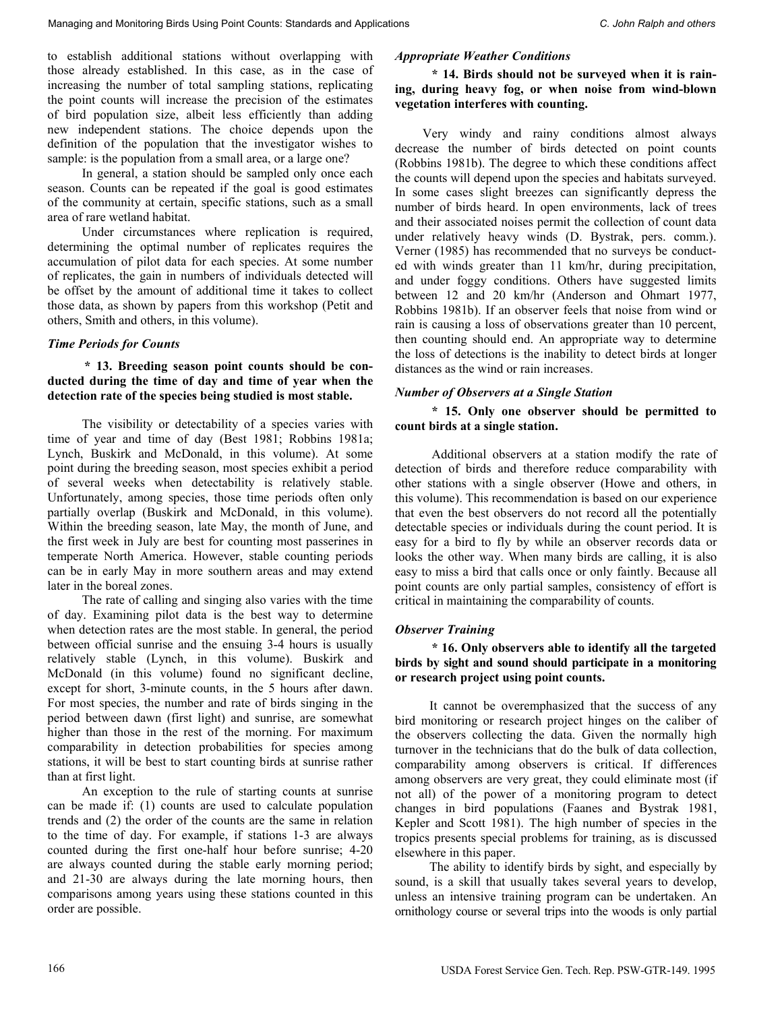to establish additional stations without overlapping with those already established. In this case, as in the case of increasing the number of total sampling stations, replicating the point counts will increase the precision of the estimates of bird population size, albeit less efficiently than adding new independent stations. The choice depends upon the definition of the population that the investigator wishes to sample: is the population from a small area, or a large one?

In general, a station should be sampled only once each season. Counts can be repeated if the goal is good estimates of the community at certain, specific stations, such as a small area of rare wetland habitat.

Under circumstances where replication is required, determining the optimal number of replicates requires the accumulation of pilot data for each species. At some number of replicates, the gain in numbers of individuals detected will be offset by the amount of additional time it takes to collect those data, as shown by papers from this workshop (Petit and others, Smith and others, in this volume).

#### *Time Periods for Counts*

### **\* 13. Breeding season point counts should be conducted during the time of day and time of year when the detection rate of the species being studied is most stable.**

The visibility or detectability of a species varies with time of year and time of day (Best 1981; Robbins 1981a; Lynch, Buskirk and McDonald, in this volume). At some point during the breeding season, most species exhibit a period of several weeks when detectability is relatively stable. Unfortunately, among species, those time periods often only partially overlap (Buskirk and McDonald, in this volume). Within the breeding season, late May, the month of June, and the first week in July are best for counting most passerines in temperate North America. However, stable counting periods can be in early May in more southern areas and may extend later in the boreal zones.

The rate of calling and singing also varies with the time of day. Examining pilot data is the best way to determine when detection rates are the most stable. In general, the period between official sunrise and the ensuing 3-4 hours is usually relatively stable (Lynch, in this volume). Buskirk and McDonald (in this volume) found no significant decline, except for short, 3-minute counts, in the 5 hours after dawn. For most species, the number and rate of birds singing in the period between dawn (first light) and sunrise, are somewhat higher than those in the rest of the morning. For maximum comparability in detection probabilities for species among stations, it will be best to start counting birds at sunrise rather than at first light.

An exception to the rule of starting counts at sunrise can be made if: (1) counts are used to calculate population trends and (2) the order of the counts are the same in relation to the time of day. For example, if stations 1-3 are always counted during the first one-half hour before sunrise; 4-20 are always counted during the stable early morning period; and 21-30 are always during the late morning hours, then comparisons among years using these stations counted in this order are possible.

#### *Appropriate Weather Conditions*

**\* 14. Birds should not be surveyed when it is raining, during heavy fog, or when noise from wind-blown vegetation interferes with counting.** 

Very windy and rainy conditions almost always decrease the number of birds detected on point counts (Robbins 1981b). The degree to which these conditions affect the counts will depend upon the species and habitats surveyed. In some cases slight breezes can significantly depress the number of birds heard. In open environments, lack of trees and their associated noises permit the collection of count data under relatively heavy winds (D. Bystrak, pers. comm.). Verner (1985) has recommended that no surveys be conducted with winds greater than 11 km/hr, during precipitation, and under foggy conditions. Others have suggested limits between 12 and 20 km/hr (Anderson and Ohmart 1977, Robbins 1981b). If an observer feels that noise from wind or rain is causing a loss of observations greater than 10 percent, then counting should end. An appropriate way to determine the loss of detections is the inability to detect birds at longer distances as the wind or rain increases.

### *Number of Observers at a Single Station*

**\* 15. Only one observer should be permitted to count birds at a single station.** 

Additional observers at a station modify the rate of detection of birds and therefore reduce comparability with other stations with a single observer (Howe and others, in this volume). This recommendation is based on our experience that even the best observers do not record all the potentially detectable species or individuals during the count period. It is easy for a bird to fly by while an observer records data or looks the other way. When many birds are calling, it is also easy to miss a bird that calls once or only faintly. Because all point counts are only partial samples, consistency of effort is critical in maintaining the comparability of counts.

#### *Observer Training*

**\* 16. Only observers able to identify all the targeted birds by sight and sound should participate in a monitoring or research project using point counts.** 

It cannot be overemphasized that the success of any bird monitoring or research project hinges on the caliber of the observers collecting the data. Given the normally high turnover in the technicians that do the bulk of data collection, comparability among observers is critical. If differences among observers are very great, they could eliminate most (if not all) of the power of a monitoring program to detect changes in bird populations (Faanes and Bystrak 1981, Kepler and Scott 1981). The high number of species in the tropics presents special problems for training, as is discussed elsewhere in this paper.

The ability to identify birds by sight, and especially by sound, is a skill that usually takes several years to develop, unless an intensive training program can be undertaken. An ornithology course or several trips into the woods is only partial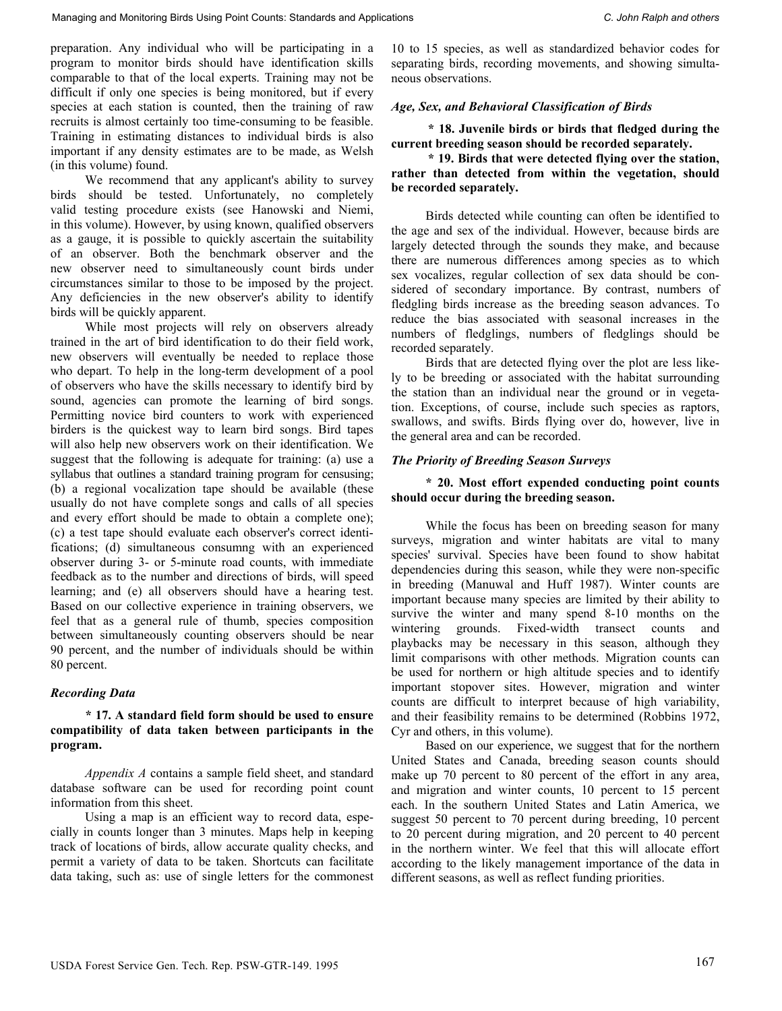preparation. Any individual who will be participating in a program to monitor birds should have identification skills comparable to that of the local experts. Training may not be difficult if only one species is being monitored, but if every species at each station is counted, then the training of raw recruits is almost certainly too time-consuming to be feasible. Training in estimating distances to individual birds is also important if any density estimates are to be made, as Welsh (in this volume) found.

We recommend that any applicant's ability to survey birds should be tested. Unfortunately, no completely valid testing procedure exists (see Hanowski and Niemi, in this volume). However, by using known, qualified observers as a gauge, it is possible to quickly ascertain the suitability of an observer. Both the benchmark observer and the new observer need to simultaneously count birds under circumstances similar to those to be imposed by the project. Any deficiencies in the new observer's ability to identify birds will be quickly apparent.

While most projects will rely on observers already trained in the art of bird identification to do their field work, new observers will eventually be needed to replace those who depart. To help in the long-term development of a pool of observers who have the skills necessary to identify bird by sound, agencies can promote the learning of bird songs. Permitting novice bird counters to work with experienced birders is the quickest way to learn bird songs. Bird tapes will also help new observers work on their identification. We suggest that the following is adequate for training: (a) use a syllabus that outlines a standard training program for censusing; (b) a regional vocalization tape should be available (these usually do not have complete songs and calls of all species and every effort should be made to obtain a complete one); (c) a test tape should evaluate each observer's correct identifications; (d) simultaneous consumng with an experienced observer during 3- or 5-minute road counts, with immediate feedback as to the number and directions of birds, will speed learning; and (e) all observers should have a hearing test. Based on our collective experience in training observers, we feel that as a general rule of thumb, species composition between simultaneously counting observers should be near 90 percent, and the number of individuals should be within 80 percent.

# *Recording Data*

### **\* 17. A standard field form should be used to ensure compatibility of data taken between participants in the program.**

*Appendix A* contains a sample field sheet, and standard database software can be used for recording point count information from this sheet.

Using a map is an efficient way to record data, especially in counts longer than 3 minutes. Maps help in keeping track of locations of birds, allow accurate quality checks, and permit a variety of data to be taken. Shortcuts can facilitate data taking, such as: use of single letters for the commonest 10 to 15 species, as well as standardized behavior codes for separating birds, recording movements, and showing simultaneous observations.

## *Age, Sex, and Behavioral Classification of Birds*

**\* 18. Juvenile birds or birds that fledged during the current breeding season should be recorded separately.** 

### **\* 19. Birds that were detected flying over the station, rather than detected from within the vegetation, should be recorded separately.**

Birds detected while counting can often be identified to the age and sex of the individual. However, because birds are largely detected through the sounds they make, and because there are numerous differences among species as to which sex vocalizes, regular collection of sex data should be considered of secondary importance. By contrast, numbers of fledgling birds increase as the breeding season advances. To reduce the bias associated with seasonal increases in the numbers of fledglings, numbers of fledglings should be recorded separately.

Birds that are detected flying over the plot are less likely to be breeding or associated with the habitat surrounding the station than an individual near the ground or in vegetation. Exceptions, of course, include such species as raptors, swallows, and swifts. Birds flying over do, however, live in the general area and can be recorded.

# *The Priority of Breeding Season Surveys*

### **\* 20. Most effort expended conducting point counts should occur during the breeding season.**

While the focus has been on breeding season for many surveys, migration and winter habitats are vital to many species' survival. Species have been found to show habitat dependencies during this season, while they were non-specific in breeding (Manuwal and Huff 1987). Winter counts are important because many species are limited by their ability to survive the winter and many spend 8-10 months on the wintering grounds. Fixed-width transect counts and playbacks may be necessary in this season, although they limit comparisons with other methods. Migration counts can be used for northern or high altitude species and to identify important stopover sites. However, migration and winter counts are difficult to interpret because of high variability, and their feasibility remains to be determined (Robbins 1972, Cyr and others, in this volume).

Based on our experience, we suggest that for the northern United States and Canada, breeding season counts should make up 70 percent to 80 percent of the effort in any area, and migration and winter counts, 10 percent to 15 percent each. In the southern United States and Latin America, we suggest 50 percent to 70 percent during breeding, 10 percent to 20 percent during migration, and 20 percent to 40 percent in the northern winter. We feel that this will allocate effort according to the likely management importance of the data in different seasons, as well as reflect funding priorities.